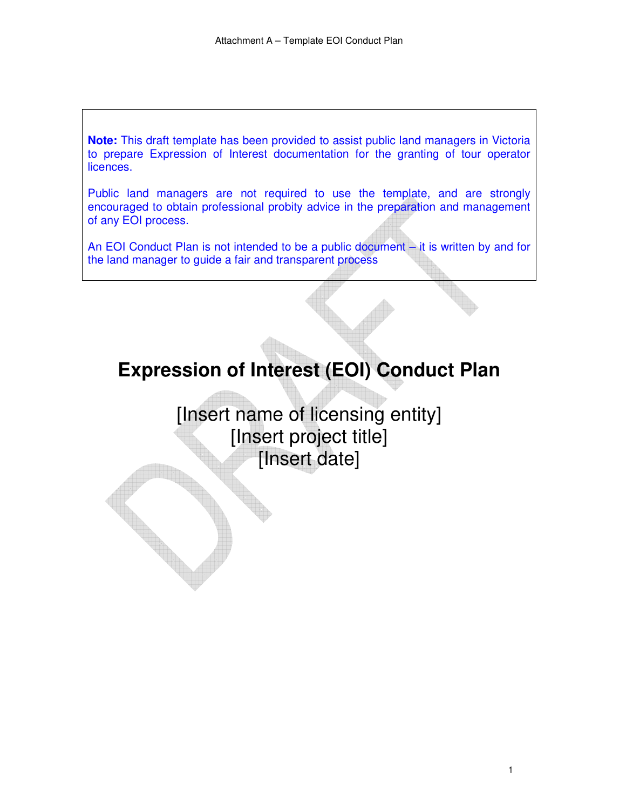**Note:** This draft template has been provided to assist public land managers in Victoria to prepare Expression of Interest documentation for the granting of tour operator licences.

Public land managers are not required to use the template, and are strongly encouraged to obtain professional probity advice in the preparation and management of any EOI process.

An EOI Conduct Plan is not intended to be a public document – it is written by and for the land manager to guide a fair and transparent process

# **Expression of Interest (EOI) Conduct Plan**

[Insert name of licensing entity] [Insert project title] [Insert date]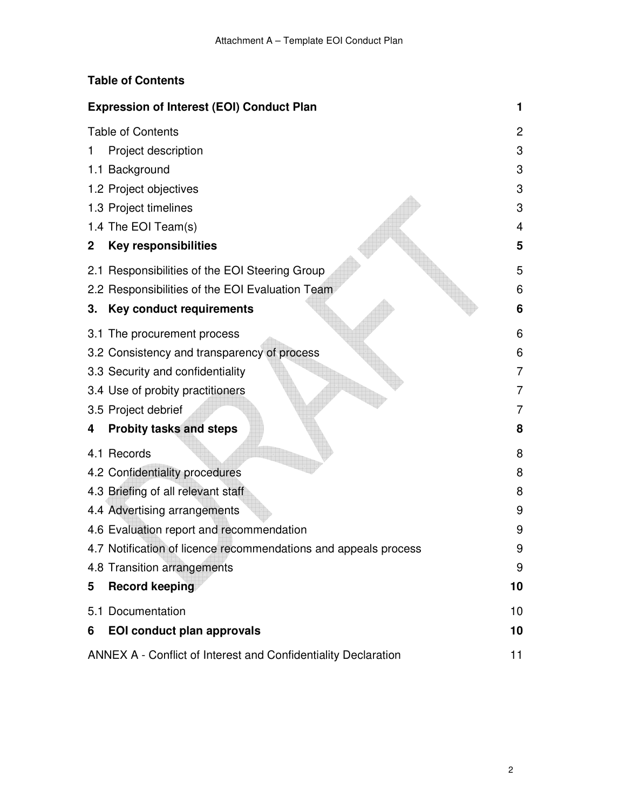#### **Table of Contents**

| <b>Expression of Interest (EOI) Conduct Plan</b> |                                                                 |                |  |
|--------------------------------------------------|-----------------------------------------------------------------|----------------|--|
|                                                  | <b>Table of Contents</b>                                        | 2              |  |
| 1                                                | Project description                                             | 3              |  |
|                                                  | 1.1 Background                                                  | 3              |  |
|                                                  | 1.2 Project objectives                                          | 3              |  |
|                                                  | 1.3 Project timelines                                           | 3              |  |
|                                                  | 1.4 The EOI Team(s)                                             | 4              |  |
| 2                                                | <b>Key responsibilities</b>                                     | 5              |  |
|                                                  | 2.1 Responsibilities of the EOI Steering Group                  | 5              |  |
|                                                  | 2.2 Responsibilities of the EOI Evaluation Team                 | 6              |  |
| 3.                                               | Key conduct requirements                                        | 6              |  |
|                                                  | 3.1 The procurement process                                     | 6              |  |
|                                                  | 3.2 Consistency and transparency of process                     | 6              |  |
|                                                  | 3.3 Security and confidentiality                                | $\overline{7}$ |  |
|                                                  | 3.4 Use of probity practitioners                                | 7              |  |
|                                                  | 3.5 Project debrief                                             | 7              |  |
| 4                                                | <b>Probity tasks and steps</b>                                  | 8              |  |
|                                                  | 4.1 Records                                                     | 8              |  |
|                                                  | 4.2 Confidentiality procedures                                  | 8              |  |
|                                                  | 4.3 Briefing of all relevant staff                              | 8              |  |
|                                                  | 4.4 Advertising arrangements                                    | 9              |  |
|                                                  | 4.6 Evaluation report and recommendation                        | 9              |  |
|                                                  | 4.7 Notification of licence recommendations and appeals process | 9              |  |
|                                                  | 4.8 Transition arrangements                                     | 9              |  |
| 5                                                | <b>Record keeping</b>                                           | 10             |  |
|                                                  | 5.1 Documentation                                               | 10             |  |
| 6                                                | <b>EOI conduct plan approvals</b>                               | 10             |  |
|                                                  | ANNEX A - Conflict of Interest and Confidentiality Declaration  | 11             |  |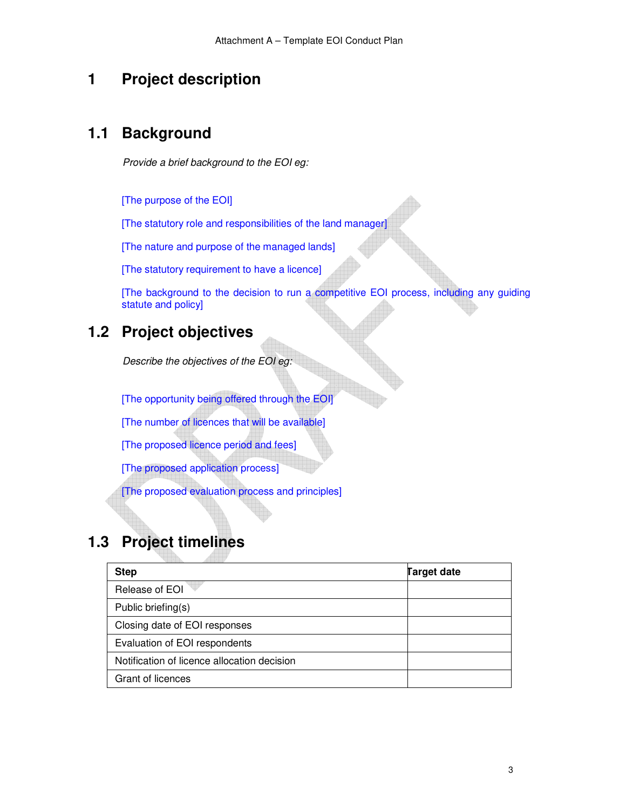#### **1 Project description**

#### **1.1 Background**

*Provide a brief background to the EOI eg:* 

[The purpose of the EOI]

[The statutory role and responsibilities of the land manager]

[The nature and purpose of the managed lands]

[The statutory requirement to have a licence]

[The background to the decision to run a competitive EOI process, including any guiding statute and policy]

#### **1.2 Project objectives**

*Describe the objectives of the EOI eg:* 

[The opportunity being offered through the EOI]

[The number of licences that will be available]

[The proposed licence period and fees]

[The proposed application process]

[The proposed evaluation process and principles]

## **1.3 Project timelines**

| <b>Step</b>                                 | <b>Target date</b> |
|---------------------------------------------|--------------------|
| Release of EOI                              |                    |
| Public briefing(s)                          |                    |
| Closing date of EOI responses               |                    |
| Evaluation of EOI respondents               |                    |
| Notification of licence allocation decision |                    |
| Grant of licences                           |                    |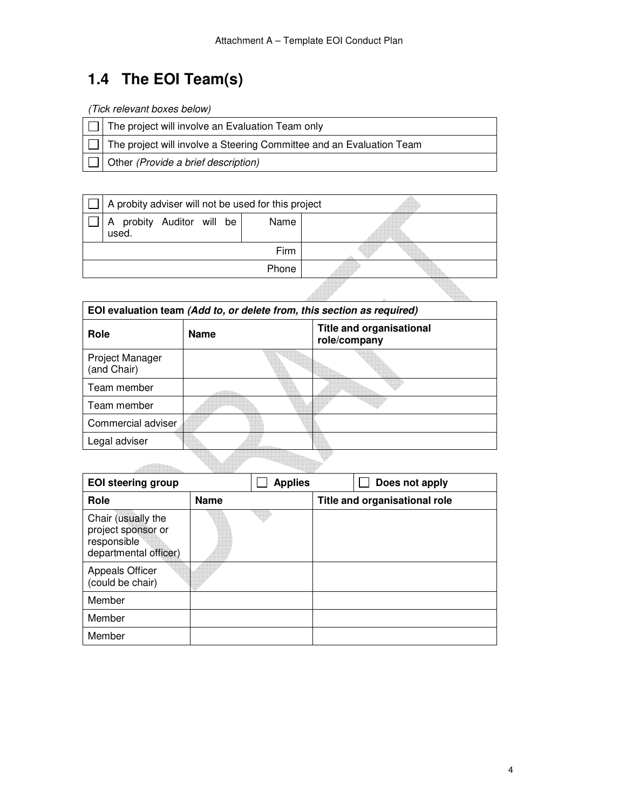## **1.4 The EOI Team(s)**

*(Tick relevant boxes below)* 

ſ

| $\Box$ The project will involve an Evaluation Team only |
|---------------------------------------------------------|
|                                                         |

The project will involve a Steering Committee and an Evaluation Team  $\Box$ 

Other *(Provide a brief description)*  $\Box$ 

| A probity adviser will not be used for this project |       |  |  |  |
|-----------------------------------------------------|-------|--|--|--|
| probity Auditor will be<br>A<br>used.               | Name  |  |  |  |
|                                                     | Firm  |  |  |  |
|                                                     | Phone |  |  |  |
|                                                     |       |  |  |  |

| EOI evaluation team (Add to, or delete from, this section as required) |             |                                                 |  |  |  |
|------------------------------------------------------------------------|-------------|-------------------------------------------------|--|--|--|
| Role                                                                   | <b>Name</b> | <b>Title and organisational</b><br>role/company |  |  |  |
| Project Manager<br>(and Chair)                                         |             |                                                 |  |  |  |
| Team member                                                            |             |                                                 |  |  |  |
| Team member                                                            |             |                                                 |  |  |  |
| Commercial adviser                                                     |             |                                                 |  |  |  |
| Legal adviser                                                          |             |                                                 |  |  |  |
|                                                                        |             |                                                 |  |  |  |

| <b>EOI steering group</b>                                                        |             | <b>Applies</b> |  | Does not apply                |
|----------------------------------------------------------------------------------|-------------|----------------|--|-------------------------------|
| Role                                                                             | <b>Name</b> |                |  | Title and organisational role |
| Chair (usually the<br>project sponsor or<br>responsible<br>departmental officer) |             |                |  |                               |
| <b>Appeals Officer</b><br>(could be chair)                                       |             |                |  |                               |
| Member                                                                           |             |                |  |                               |
| Member                                                                           |             |                |  |                               |
| Member                                                                           |             |                |  |                               |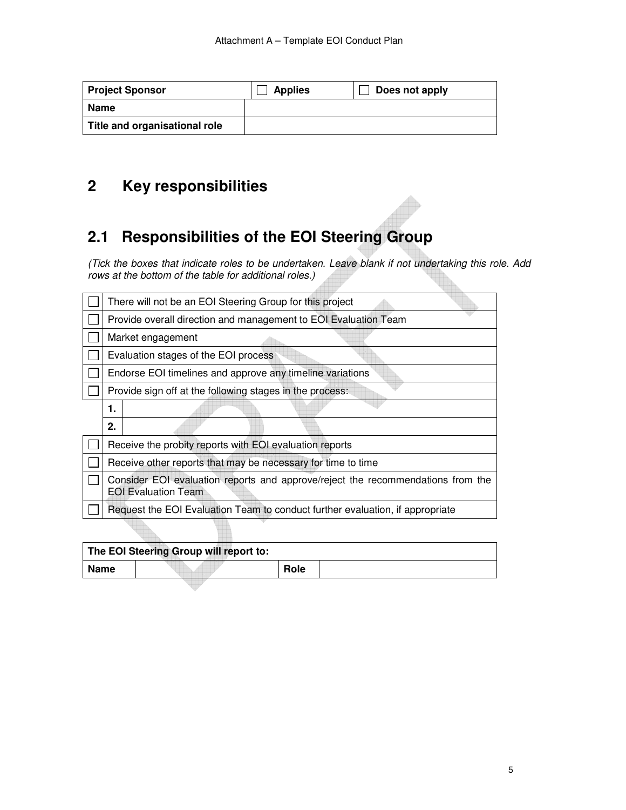| <b>Project Sponsor</b>        | <b>Applies</b> | Does not apply |
|-------------------------------|----------------|----------------|
| <b>Name</b>                   |                |                |
| Title and organisational role |                |                |

## **2 Key responsibilities**

### **2.1 Responsibilities of the EOI Steering Group**

*(Tick the boxes that indicate roles to be undertaken. Leave blank if not undertaking this role. Add rows at the bottom of the table for additional roles.)* 

HÌ.

| There will not be an EOI Steering Group for this project                                                      |  |  |  |  |
|---------------------------------------------------------------------------------------------------------------|--|--|--|--|
| Provide overall direction and management to EOI Evaluation Team                                               |  |  |  |  |
| Market engagement                                                                                             |  |  |  |  |
| Evaluation stages of the EOI process                                                                          |  |  |  |  |
| Endorse EOI timelines and approve any timeline variations                                                     |  |  |  |  |
| Provide sign off at the following stages in the process:                                                      |  |  |  |  |
| 1.                                                                                                            |  |  |  |  |
| 2.                                                                                                            |  |  |  |  |
| Receive the probity reports with EOI evaluation reports                                                       |  |  |  |  |
| Receive other reports that may be necessary for time to time                                                  |  |  |  |  |
| Consider EOI evaluation reports and approve/reject the recommendations from the<br><b>EOI Evaluation Team</b> |  |  |  |  |
| Request the EOI Evaluation Team to conduct further evaluation, if appropriate                                 |  |  |  |  |
|                                                                                                               |  |  |  |  |

| The EOI Steering Group will report to: |  |      |  |  |
|----------------------------------------|--|------|--|--|
| Name                                   |  | Role |  |  |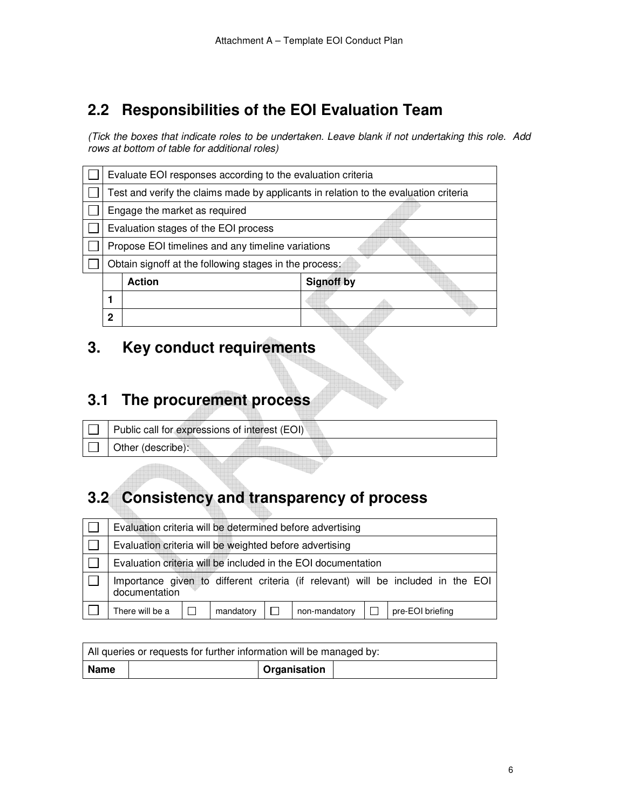### **2.2 Responsibilities of the EOI Evaluation Team**

*(Tick the boxes that indicate roles to be undertaken. Leave blank if not undertaking this role. Add rows at bottom of table for additional roles)* 

| Test and verify the claims made by applicants in relation to the evaluation criteria |                               |  |  |  |  |
|--------------------------------------------------------------------------------------|-------------------------------|--|--|--|--|
|                                                                                      |                               |  |  |  |  |
|                                                                                      |                               |  |  |  |  |
|                                                                                      | Engage the market as required |  |  |  |  |
| Evaluation stages of the EOI process                                                 |                               |  |  |  |  |
| Propose EOI timelines and any timeline variations                                    |                               |  |  |  |  |
| Obtain signoff at the following stages in the process:                               |                               |  |  |  |  |
| <b>Signoff by</b><br><b>Action</b>                                                   |                               |  |  |  |  |
|                                                                                      |                               |  |  |  |  |
|                                                                                      |                               |  |  |  |  |
|                                                                                      |                               |  |  |  |  |

#### **3. Key conduct requirements**

#### **3.1 The procurement process**

| $\Box$ Public call for expressions of interest (EOI) |  |  |
|------------------------------------------------------|--|--|
| $\Box$ Other (describe):                             |  |  |

## **3.2 Consistency and transparency of process**

| Evaluation criteria will be determined before advertising                                         |  |           |  |               |  |                  |
|---------------------------------------------------------------------------------------------------|--|-----------|--|---------------|--|------------------|
| Evaluation criteria will be weighted before advertising                                           |  |           |  |               |  |                  |
| Evaluation criteria will be included in the EOI documentation                                     |  |           |  |               |  |                  |
| Importance given to different criteria (if relevant) will be included in the EOI<br>documentation |  |           |  |               |  |                  |
| There will be a                                                                                   |  | mandatory |  | non-mandatory |  | pre-EOI briefing |

| All queries or requests for further information will be managed by: |  |              |  |  |
|---------------------------------------------------------------------|--|--------------|--|--|
| ∣ Name                                                              |  | Organisation |  |  |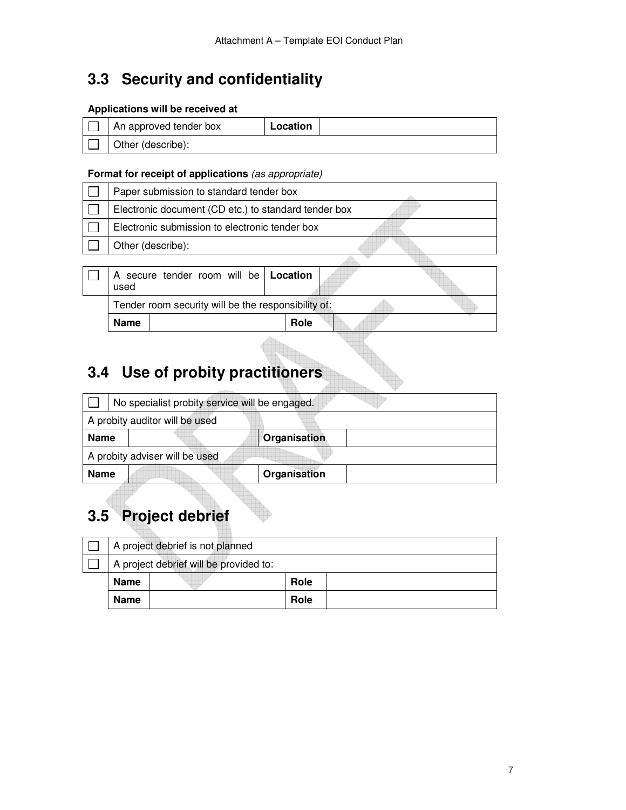## **3.3 Security and confidentiality**

#### **Applications will be received at**

| An approved tender box | Location |  |
|------------------------|----------|--|
| Other (describe):      |          |  |

#### **Format for receipt of applications** *(as appropriate)*

| Paper submission to standard tender box              |                                                |  |             |  |  |
|------------------------------------------------------|------------------------------------------------|--|-------------|--|--|
| Electronic document (CD etc.) to standard tender box |                                                |  |             |  |  |
|                                                      | Electronic submission to electronic tender box |  |             |  |  |
| Other (describe):                                    |                                                |  |             |  |  |
|                                                      |                                                |  |             |  |  |
| used                                                 | secure tender room will be   Location          |  |             |  |  |
| Tender room security will be the responsibility of:  |                                                |  |             |  |  |
| Name                                                 |                                                |  | <b>Role</b> |  |  |

## **3.4 Use of probity practitioners**

|             | No specialist probity service will be engaged. |              |  |  |
|-------------|------------------------------------------------|--------------|--|--|
|             | A probity auditor will be used                 |              |  |  |
| <b>Name</b> |                                                | Organisation |  |  |
|             | A probity adviser will be used                 |              |  |  |
| <b>Name</b> |                                                | Organisation |  |  |

## **3.5 Project debrief**

|             | A project debrief is not planned       |      |  |
|-------------|----------------------------------------|------|--|
|             | A project debrief will be provided to: |      |  |
| <b>Name</b> |                                        | Role |  |
| <b>Name</b> |                                        | Role |  |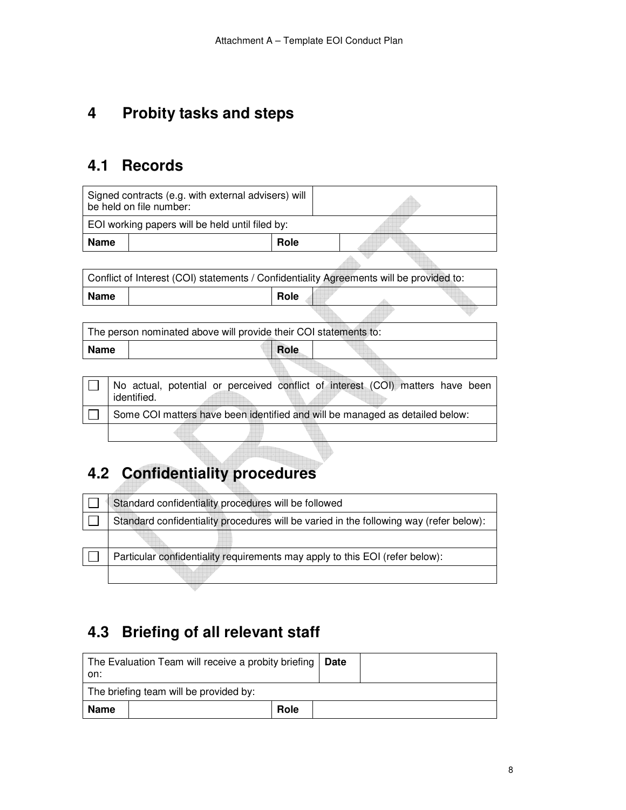#### **4 Probity tasks and steps**

#### **4.1 Records**

|             | Signed contracts (e.g. with external advisers) will<br>be held on file number:               |
|-------------|----------------------------------------------------------------------------------------------|
|             | EOI working papers will be held until filed by:                                              |
| <b>Name</b> | Role                                                                                         |
|             |                                                                                              |
|             | Conflict of Interest (COI) statements / Confidentiality Agreements will be provided to:      |
| <b>Name</b> | Role                                                                                         |
|             |                                                                                              |
|             | The person nominated above will provide their COI statements to:                             |
| <b>Name</b> | Role                                                                                         |
|             |                                                                                              |
|             | No actual, potential or perceived conflict of interest (COI) matters have been<br>identified |

identified. **AUTO**  $\Box$  Some COI matters have been identified and will be managed as detailed below:

## **4.2 Confidentiality procedures**

| Standard confidentiality procedures will be followed                                   |
|----------------------------------------------------------------------------------------|
| Standard confidentiality procedures will be varied in the following way (refer below): |
|                                                                                        |
| Particular confidentiality requirements may apply to this EOI (refer below):           |
|                                                                                        |

#### **4.3 Briefing of all relevant staff**

| The Evaluation Team will receive a probity briefing   Date<br>on: |  |      |  |
|-------------------------------------------------------------------|--|------|--|
| The briefing team will be provided by:                            |  |      |  |
| Name                                                              |  | Role |  |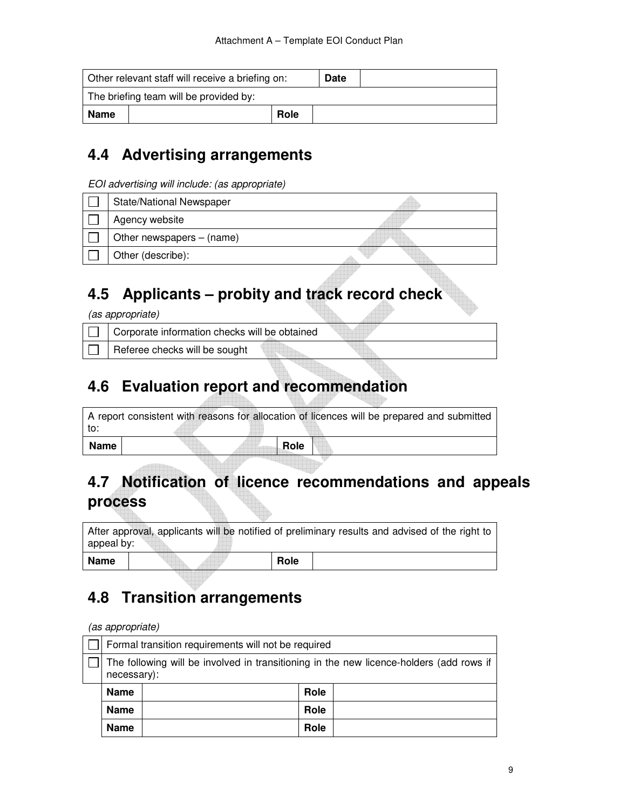| Other relevant staff will receive a briefing on: |  |      | <b>Date</b> |  |
|--------------------------------------------------|--|------|-------------|--|
| The briefing team will be provided by:           |  |      |             |  |
| Name                                             |  | Role |             |  |

#### **4.4 Advertising arrangements**

*EOI advertising will include: (as appropriate)* 

| <b>State/National Newspaper</b> |  |
|---------------------------------|--|
| Agency website                  |  |
| Other newspapers $-$ (name)     |  |
| Other (describe):               |  |

#### **4.5 Applicants – probity and track record check**

*(as appropriate)*

| Corporate information checks will be obtained |  |  |
|-----------------------------------------------|--|--|
| Referee checks will be sought                 |  |  |
|                                               |  |  |

#### **4.6 Evaluation report and recommendation**

|      | A report consistent with reasons for allocation of licences will be prepared and submitted |      |  |  |
|------|--------------------------------------------------------------------------------------------|------|--|--|
| to:  |                                                                                            |      |  |  |
| Name |                                                                                            | Role |  |  |

## **4.7 Notification of licence recommendations and appeals process**

After approval, applicants will be notified of preliminary results and advised of the right to appeal by: Name Role Role

### **4.8 Transition arrangements**

*(as appropriate)* 

| Formal transition requirements will not be required                                                    |  |      |  |  |
|--------------------------------------------------------------------------------------------------------|--|------|--|--|
| The following will be involved in transitioning in the new licence-holders (add rows if<br>necessary): |  |      |  |  |
| <b>Name</b>                                                                                            |  | Role |  |  |
| Name                                                                                                   |  | Role |  |  |
| <b>Name</b>                                                                                            |  | Role |  |  |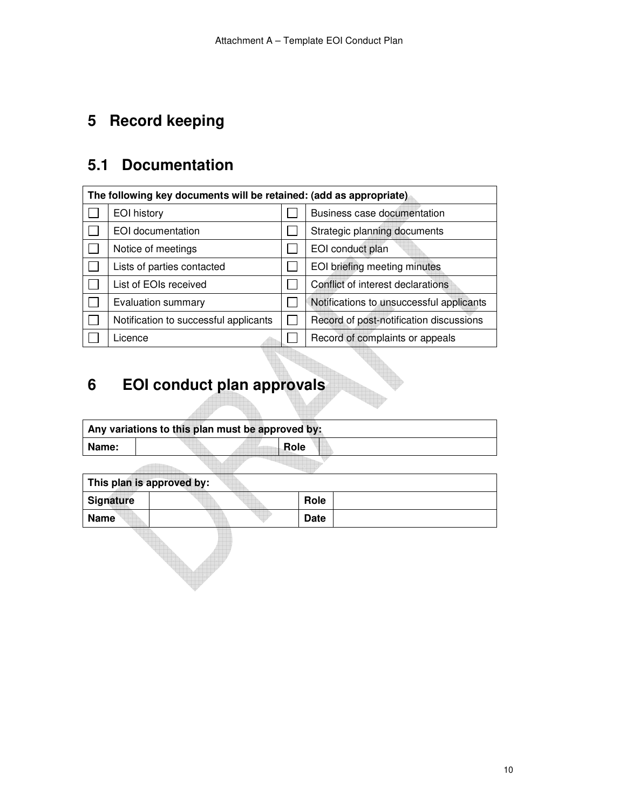## **5 Record keeping**

## **5.1 Documentation**

| The following key documents will be retained: (add as appropriate) |                                       |  |                                          |  |  |
|--------------------------------------------------------------------|---------------------------------------|--|------------------------------------------|--|--|
|                                                                    | EOI history                           |  | Business case documentation              |  |  |
|                                                                    | EOI documentation                     |  | Strategic planning documents             |  |  |
|                                                                    | Notice of meetings                    |  | EOI conduct plan                         |  |  |
|                                                                    | Lists of parties contacted            |  | EOI briefing meeting minutes             |  |  |
|                                                                    | List of EOIs received                 |  | Conflict of interest declarations        |  |  |
|                                                                    | Evaluation summary                    |  | Notifications to unsuccessful applicants |  |  |
|                                                                    | Notification to successful applicants |  | Record of post-notification discussions  |  |  |
|                                                                    | Licence                               |  | Record of complaints or appeals          |  |  |

## **6 EOI conduct plan approvals**

| Any variations to this plan must be approved by: |  |  |      |  |  |  |
|--------------------------------------------------|--|--|------|--|--|--|
| Name:                                            |  |  | Role |  |  |  |
|                                                  |  |  |      |  |  |  |

| This plan is approved by: |  |             |  |  |  |  |
|---------------------------|--|-------------|--|--|--|--|
| <b>Signature</b>          |  | Role        |  |  |  |  |
| <b>Name</b>               |  | <b>Date</b> |  |  |  |  |
|                           |  |             |  |  |  |  |